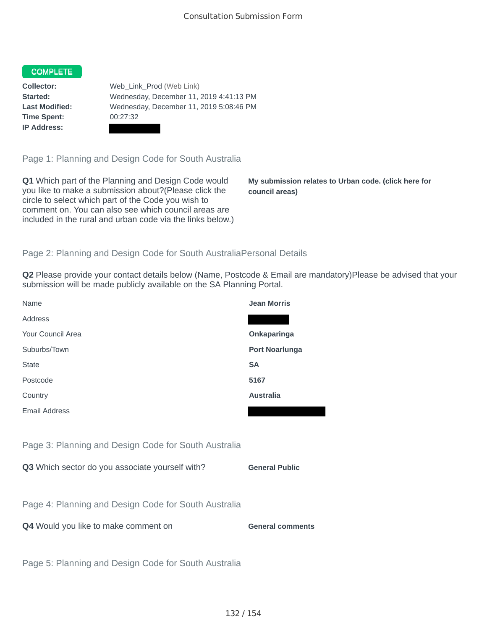## COMPLETE

**Time Spent:** 00:27:32 **IP Address:**

**Collector:** Web\_Link\_Prod (Web Link) **Started:** Wednesday, December 11, 2019 4:41:13 PM **Last Modified:** Wednesday, December 11, 2019 5:08:46 PM

Page 1: Planning and Design Code for South Australia

**Q1** Which part of the Planning and Design Code would you like to make a submission about?(Please click the circle to select which part of the Code you wish to comment on. You can also see which council areas are included in the rural and urban code via the links below.)

**My submission relates to Urban code. (click here for council areas)**

## Page 2: Planning and Design Code for South AustraliaPersonal Details

**Q2** Please provide your contact details below (Name, Postcode & Email are mandatory)Please be advised that your submission will be made publicly available on the SA Planning Portal.

| Name                                                 | <b>Jean Morris</b>      |
|------------------------------------------------------|-------------------------|
| Address                                              |                         |
| Your Council Area                                    | Onkaparinga             |
| Suburbs/Town                                         | <b>Port Noarlunga</b>   |
| <b>State</b>                                         | <b>SA</b>               |
| Postcode                                             | 5167                    |
| Country                                              | <b>Australia</b>        |
| <b>Email Address</b>                                 |                         |
|                                                      |                         |
| Page 3: Planning and Design Code for South Australia |                         |
| Q3 Which sector do you associate yourself with?      | <b>General Public</b>   |
|                                                      |                         |
| Page 4: Planning and Design Code for South Australia |                         |
| Q4 Would you like to make comment on                 | <b>General comments</b> |
|                                                      |                         |
| Page 5: Planning and Design Code for South Australia |                         |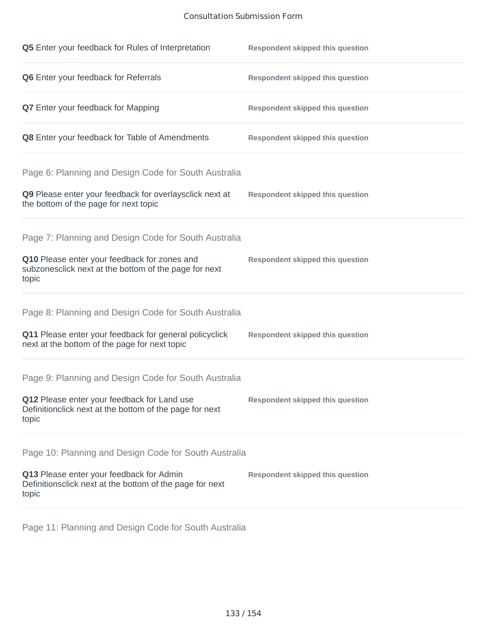## Consultation Submission Form

| Q5 Enter your feedback for Rules of Interpretation                                                              | <b>Respondent skipped this question</b> |
|-----------------------------------------------------------------------------------------------------------------|-----------------------------------------|
| Q6 Enter your feedback for Referrals                                                                            | <b>Respondent skipped this question</b> |
| <b>Q7</b> Enter your feedback for Mapping                                                                       | <b>Respondent skipped this question</b> |
| Q8 Enter your feedback for Table of Amendments                                                                  | <b>Respondent skipped this question</b> |
| Page 6: Planning and Design Code for South Australia                                                            |                                         |
| Q9 Please enter your feedback for overlaysclick next at<br>the bottom of the page for next topic                | <b>Respondent skipped this question</b> |
| Page 7: Planning and Design Code for South Australia                                                            |                                         |
| Q10 Please enter your feedback for zones and<br>subzonesclick next at the bottom of the page for next<br>topic  | <b>Respondent skipped this question</b> |
| Page 8: Planning and Design Code for South Australia                                                            |                                         |
| Q11 Please enter your feedback for general policyclick<br>next at the bottom of the page for next topic         | <b>Respondent skipped this question</b> |
| Page 9: Planning and Design Code for South Australia                                                            |                                         |
| Q12 Please enter your feedback for Land use<br>Definitionclick next at the bottom of the page for next<br>topic | <b>Respondent skipped this question</b> |
| Page 10: Planning and Design Code for South Australia                                                           |                                         |
| Q13 Please enter your feedback for Admin<br>Definitionsclick next at the bottom of the page for next<br>topic   | <b>Respondent skipped this question</b> |

Page 11: Planning and Design Code for South Australia